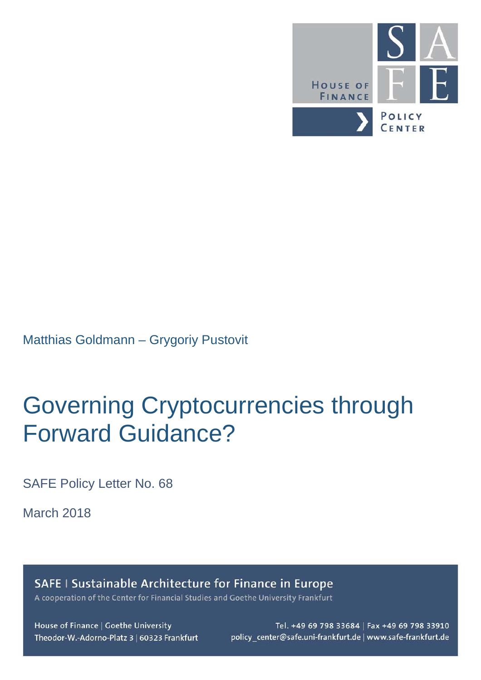

Matthias Goldmann – Grygoriy Pustovit

## Governing Cryptocurrencies through Forward Guidance?

SAFE Policy Letter No. 68

March 2018

SAFE I Sustainable Architecture for Finance in Europe

A cooperation of the Center for Financial Studies and Goethe University Frankfurt

House of Finance | Goethe University Theodor-W.-Adorno-Platz 3 | 60323 Frankfurt

Tel. +49 69 798 33684 | Fax +49 69 798 33910 policy\_center@safe.uni-frankfurt.de | www.safe-frankfurt.de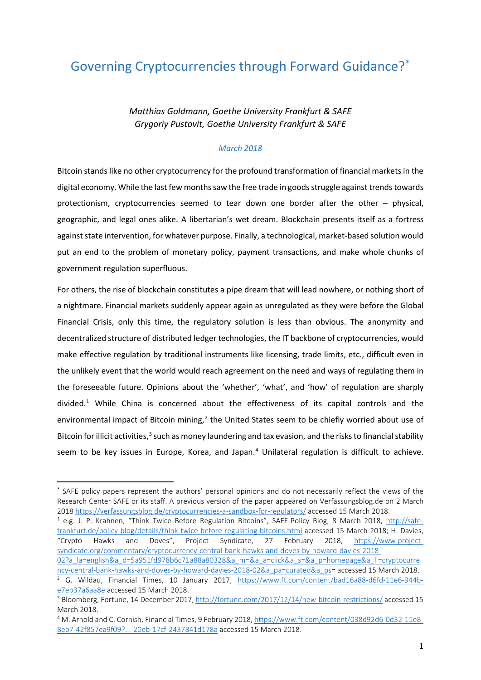## Governing Cryptocurrencies through Forward Guidance?[\\*](#page-1-0)

*Matthias Goldmann, Goethe University Frankfurt & SAFE Grygoriy Pustovit, Goethe University Frankfurt & SAFE*

## *March 2018*

Bitcoin stands like no other cryptocurrency for the profound transformation of financial markets in the digital economy. While the last few months saw the free trade in goods struggle against trends towards protectionism, cryptocurrencies seemed to tear down one border after the other – physical, geographic, and legal ones alike. A libertarian's wet dream. Blockchain presents itself as a fortress against state intervention, for whatever purpose. Finally, a technological, market-based solution would put an end to the problem of monetary policy, payment transactions, and make whole chunks of government regulation superfluous.

For others, the rise of blockchain constitutes a pipe dream that will lead nowhere, or nothing short of a nightmare. Financial markets suddenly appear again as unregulated as they were before the Global Financial Crisis, only this time, the regulatory solution is less than obvious. The anonymity and decentralized structure of distributed ledger technologies, the IT backbone of cryptocurrencies, would make effective regulation by traditional instruments like licensing, trade limits, etc., difficult even in the unlikely event that the world would reach agreement on the need and ways of regulating them in the foreseeable future. Opinions about the 'whether', 'what', and 'how' of regulation are sharply divided. [1](#page-1-1) While China is concerned about the effectiveness of its capital controls and the environmental impact of Bitcoin mining, $<sup>2</sup>$  $<sup>2</sup>$  $<sup>2</sup>$  the United States seem to be chiefly worried about use of</sup> Bitcoin for illicit activities,<sup>[3](#page-1-3)</sup> such as money laundering and tax evasion, and the risks to financial stability seem to be key issues in Europe, Korea, and Japan.<sup>[4](#page-1-4)</sup> Unilateral regulation is difficult to achieve.

<span id="page-1-1"></span><sup>1</sup> e.g. J. P. Krahnen, "Think Twice Before Regulation Bitcoins", SAFE-Policy Blog, 8 March 2018, [http://safe](http://safe-frankfurt.de/policy-blog/details/think-twice-before-regulating-bitcoins.html)[frankfurt.de/policy-blog/details/think-twice-before-regulating-bitcoins.html](http://safe-frankfurt.de/policy-blog/details/think-twice-before-regulating-bitcoins.html) accessed 15 March 2018; H. Davies, "Crypto Hawks and Doves", Project Syndicate, 27 February 2018, [https://www.project](https://www.project-syndicate.org/commentary/cryptocurrency-central-bank-hawks-and-doves-by-howard-davies-2018-02?a_la=english&a_d=5a951fd978b6c71a88a80328&a_m=&a_a=click&a_s=&a_p=homepage&a_li=cryptocurrency-central-bank-hawks-and-doves-by-howard-davies-2018-02&a_pa=curated&a_ps)[syndicate.org/commentary/cryptocurrency-central-bank-hawks-and-doves-by-howard-davies-2018-](https://www.project-syndicate.org/commentary/cryptocurrency-central-bank-hawks-and-doves-by-howard-davies-2018-02?a_la=english&a_d=5a951fd978b6c71a88a80328&a_m=&a_a=click&a_s=&a_p=homepage&a_li=cryptocurrency-central-bank-hawks-and-doves-by-howard-davies-2018-02&a_pa=curated&a_ps) [02?a\\_la=english&a\\_d=5a951fd978b6c71a88a80328&a\\_m=&a\\_a=click&a\\_s=&a\\_p=homepage&a\\_li=cryptocurre](https://www.project-syndicate.org/commentary/cryptocurrency-central-bank-hawks-and-doves-by-howard-davies-2018-02?a_la=english&a_d=5a951fd978b6c71a88a80328&a_m=&a_a=click&a_s=&a_p=homepage&a_li=cryptocurrency-central-bank-hawks-and-doves-by-howard-davies-2018-02&a_pa=curated&a_ps)

[ncy-central-bank-hawks-and-doves-by-howard-davies-2018-02&a\\_pa=curated&a\\_ps=](https://www.project-syndicate.org/commentary/cryptocurrency-central-bank-hawks-and-doves-by-howard-davies-2018-02?a_la=english&a_d=5a951fd978b6c71a88a80328&a_m=&a_a=click&a_s=&a_p=homepage&a_li=cryptocurrency-central-bank-hawks-and-doves-by-howard-davies-2018-02&a_pa=curated&a_ps) accessed 15 March 2018.

<span id="page-1-0"></span> <sup>\*</sup> SAFE policy papers represent the authors' personal opinions and do not necessarily reflect the views of the Research Center SAFE or its staff. A previous version of the paper appeared on Verfassungsblog.de on 2 March 2018<https://verfassungsblog.de/cryptocurrencies-a-sandbox-for-regulators/> accessed 15 March 2018.

<span id="page-1-2"></span><sup>&</sup>lt;sup>2</sup> G. Wildau, Financial Times, 10 January 2017, [https://www.ft.com/content/bad16a88-d6fd-11e6-944b](https://www.ft.com/content/bad16a88-d6fd-11e6-944b-e7eb37a6aa8e)[e7eb37a6aa8e](https://www.ft.com/content/bad16a88-d6fd-11e6-944b-e7eb37a6aa8e) accessed 15 March 2018.

<span id="page-1-3"></span><sup>&</sup>lt;sup>3</sup> Bloomberg, Fortune, 14 December 2017, <http://fortune.com/2017/12/14/new-bitcoin-restrictions/> accessed 15 March 2018.

<span id="page-1-4"></span><sup>4</sup> M. Arnold and C. Cornish, Financial Times, 9 February 2018, [https://www.ft.com/content/038d92d6-0d32-11e8-](https://www.ft.com/content/038d92d6-0d32-11e8-8eb7-42f857ea9f09?...-20eb-17cf-2437841d178a) [8eb7-42f857ea9f09?...-20eb-17cf-2437841d178a](https://www.ft.com/content/038d92d6-0d32-11e8-8eb7-42f857ea9f09?...-20eb-17cf-2437841d178a) accessed 15 March 2018.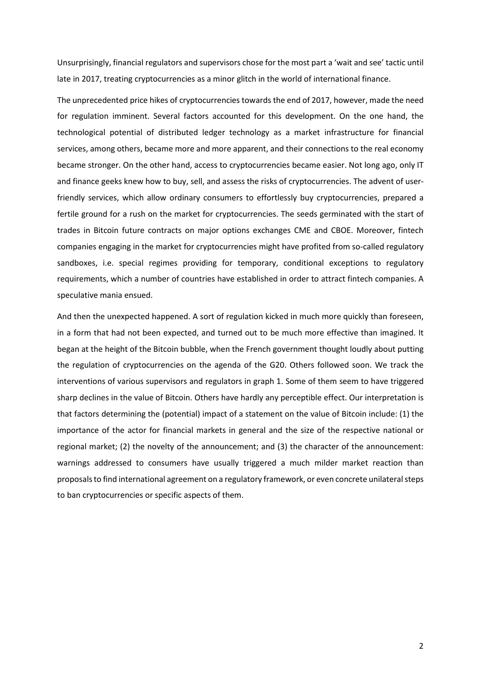Unsurprisingly, financial regulators and supervisors chose for the most part a 'wait and see' tactic until late in 2017, treating cryptocurrencies as a minor glitch in the world of international finance.

The unprecedented price hikes of cryptocurrencies towards the end of 2017, however, made the need for regulation imminent. Several factors accounted for this development. On the one hand, the technological potential of distributed ledger technology as a market infrastructure for financial services, among others, became more and more apparent, and their connections to the real economy became stronger. On the other hand, access to cryptocurrencies became easier. Not long ago, only IT and finance geeks knew how to buy, sell, and assess the risks of cryptocurrencies. The advent of userfriendly services, which allow ordinary consumers to effortlessly buy cryptocurrencies, prepared a fertile ground for a rush on the market for cryptocurrencies. The seeds germinated with the start of trades in Bitcoin future contracts on major options exchanges CME and CBOE. Moreover, fintech companies engaging in the market for cryptocurrencies might have profited from so-called regulatory sandboxes, i.e. special regimes providing for temporary, conditional exceptions to regulatory requirements, which a number of countries have established in order to attract fintech companies. A speculative mania ensued.

And then the unexpected happened. A sort of regulation kicked in much more quickly than foreseen, in a form that had not been expected, and turned out to be much more effective than imagined. It began at the height of the Bitcoin bubble, when the French government thought loudly about putting the regulation of cryptocurrencies on the agenda of the G20. Others followed soon. We track the interventions of various supervisors and regulators in graph 1. Some of them seem to have triggered sharp declines in the value of Bitcoin. Others have hardly any perceptible effect. Our interpretation is that factors determining the (potential) impact of a statement on the value of Bitcoin include: (1) the importance of the actor for financial markets in general and the size of the respective national or regional market; (2) the novelty of the announcement; and (3) the character of the announcement: warnings addressed to consumers have usually triggered a much milder market reaction than proposals to find international agreement on a regulatory framework, or even concrete unilateral steps to ban cryptocurrencies or specific aspects of them.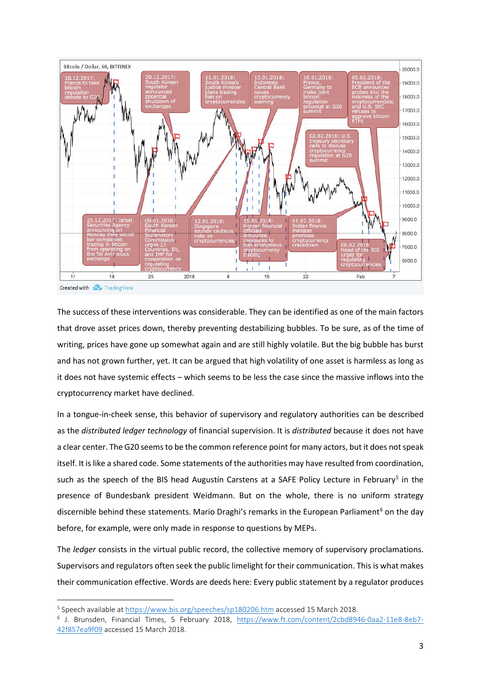

The success of these interventions was considerable. They can be identified as one of the main factors that drove asset prices down, thereby preventing destabilizing bubbles. To be sure, as of the time of writing, prices have gone up somewhat again and are still highly volatile. But the big bubble has burst and has not grown further, yet. It can be argued that high volatility of one asset is harmless as long as it does not have systemic effects – which seems to be less the case since the massive inflows into the cryptocurrency market have declined.

In a tongue-in-cheek sense, this behavior of supervisory and regulatory authorities can be described as the *distributed ledger technology* of financial supervision. It is *distributed* because it does not have a clear center. The G20 seems to be the common reference point for many actors, but it does not speak itself. It is like a shared code. Some statements of the authorities may have resulted from coordination, such as the speech of the BIS head Augustín Carstens at a SAFE Policy Lecture in February<sup>[5](#page-3-0)</sup> in the presence of Bundesbank president Weidmann. But on the whole, there is no uniform strategy discernible behind these statements. Mario Draghi's remarks in the European Parliament<sup>6</sup> on the day before, for example, were only made in response to questions by MEPs.

The *ledger* consists in the virtual public record, the collective memory of supervisory proclamations. Supervisors and regulators often seek the public limelight for their communication. This is what makes their communication effective. Words are deeds here: Every public statement by a regulator produces

 $\overline{a}$ 

<span id="page-3-0"></span><sup>5</sup> Speech available a[t https://www.bis.org/speeches/sp180206.htm](https://www.bis.org/speeches/sp180206.htm) accessed 15 March 2018.

<span id="page-3-1"></span><sup>6</sup> J. Brunsden, Financial Times, 5 February 2018, [https://www.ft.com/content/2cbd8946-0aa2-11e8-8eb7-](https://www.ft.com/content/2cbd8946-0aa2-11e8-8eb7-42f857ea9f09) [42f857ea9f09](https://www.ft.com/content/2cbd8946-0aa2-11e8-8eb7-42f857ea9f09) accessed 15 March 2018.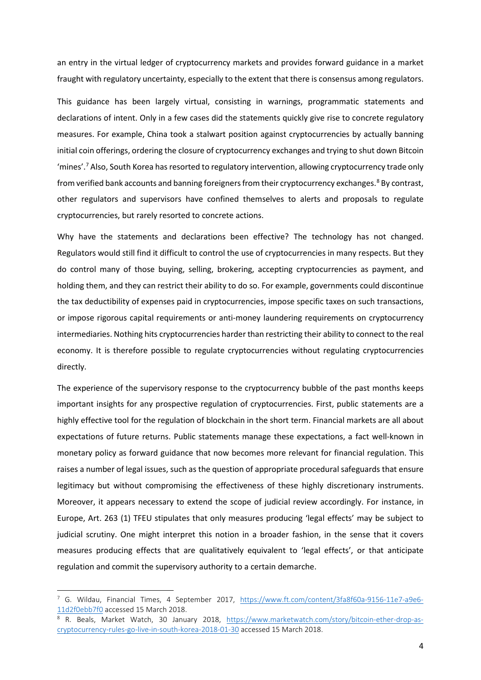an entry in the virtual ledger of cryptocurrency markets and provides forward guidance in a market fraught with regulatory uncertainty, especially to the extent that there is consensus among regulators.

This guidance has been largely virtual, consisting in warnings, programmatic statements and declarations of intent. Only in a few cases did the statements quickly give rise to concrete regulatory measures. For example, China took a stalwart position against cryptocurrencies by actually banning initial coin offerings, ordering the closure of cryptocurrency exchanges and trying to shut down Bitcoin 'mines'. [7](#page-4-0) Also, South Korea has resorted to regulatory intervention, allowing cryptocurrency trade only from verified bank accounts and banning foreigners from their cryptocurrency exchanges. [8](#page-4-1) By contrast, other regulators and supervisors have confined themselves to alerts and proposals to regulate cryptocurrencies, but rarely resorted to concrete actions.

Why have the statements and declarations been effective? The technology has not changed. Regulators would still find it difficult to control the use of cryptocurrencies in many respects. But they do control many of those buying, selling, brokering, accepting cryptocurrencies as payment, and holding them, and they can restrict their ability to do so. For example, governments could discontinue the tax deductibility of expenses paid in cryptocurrencies, impose specific taxes on such transactions, or impose rigorous capital requirements or anti-money laundering requirements on cryptocurrency intermediaries. Nothing hits cryptocurrencies harder than restricting their ability to connect to the real economy. It is therefore possible to regulate cryptocurrencies without regulating cryptocurrencies directly.

The experience of the supervisory response to the cryptocurrency bubble of the past months keeps important insights for any prospective regulation of cryptocurrencies. First, public statements are a highly effective tool for the regulation of blockchain in the short term. Financial markets are all about expectations of future returns. Public statements manage these expectations, a fact well-known in monetary policy as forward guidance that now becomes more relevant for financial regulation. This raises a number of legal issues, such as the question of appropriate procedural safeguards that ensure legitimacy but without compromising the effectiveness of these highly discretionary instruments. Moreover, it appears necessary to extend the scope of judicial review accordingly. For instance, in Europe, Art. 263 (1) TFEU stipulates that only measures producing 'legal effects' may be subject to judicial scrutiny. One might interpret this notion in a broader fashion, in the sense that it covers measures producing effects that are qualitatively equivalent to 'legal effects', or that anticipate regulation and commit the supervisory authority to a certain demarche.

 $\overline{a}$ 

<span id="page-4-0"></span><sup>&</sup>lt;sup>7</sup> G. Wildau, Financial Times, 4 September 2017, [https://www.ft.com/content/3fa8f60a-9156-11e7-a9e6-](https://www.ft.com/content/3fa8f60a-9156-11e7-a9e6-11d2f0ebb7f0) [11d2f0ebb7f0](https://www.ft.com/content/3fa8f60a-9156-11e7-a9e6-11d2f0ebb7f0) accessed 15 March 2018.

<span id="page-4-1"></span><sup>8</sup> R. Beals, Market Watch, 30 January 2018, [https://www.marketwatch.com/story/bitcoin-ether-drop-as](https://www.marketwatch.com/story/bitcoin-ether-drop-as-cryptocurrency-rules-go-live-in-south-korea-2018-01-30)[cryptocurrency-rules-go-live-in-south-korea-2018-01-30](https://www.marketwatch.com/story/bitcoin-ether-drop-as-cryptocurrency-rules-go-live-in-south-korea-2018-01-30) accessed 15 March 2018.